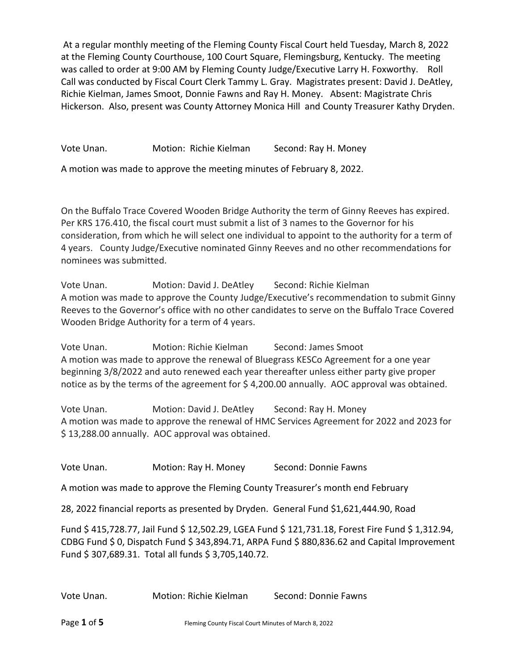At a regular monthly meeting of the Fleming County Fiscal Court held Tuesday, March 8, 2022 at the Fleming County Courthouse, 100 Court Square, Flemingsburg, Kentucky. The meeting was called to order at 9:00 AM by Fleming County Judge/Executive Larry H. Foxworthy. Roll Call was conducted by Fiscal Court Clerk Tammy L. Gray. Magistrates present: David J. DeAtley, Richie Kielman, James Smoot, Donnie Fawns and Ray H. Money. Absent: Magistrate Chris Hickerson. Also, present was County Attorney Monica Hill and County Treasurer Kathy Dryden.

Vote Unan. Motion: Richie Kielman Second: Ray H. Money

A motion was made to approve the meeting minutes of February 8, 2022.

On the Buffalo Trace Covered Wooden Bridge Authority the term of Ginny Reeves has expired. Per KRS 176.410, the fiscal court must submit a list of 3 names to the Governor for his consideration, from which he will select one individual to appoint to the authority for a term of 4 years. County Judge/Executive nominated Ginny Reeves and no other recommendations for nominees was submitted.

Vote Unan. Motion: David J. DeAtley Second: Richie Kielman A motion was made to approve the County Judge/Executive's recommendation to submit Ginny Reeves to the Governor's office with no other candidates to serve on the Buffalo Trace Covered Wooden Bridge Authority for a term of 4 years.

Vote Unan. Motion: Richie Kielman Second: James Smoot A motion was made to approve the renewal of Bluegrass KESCo Agreement for a one year beginning 3/8/2022 and auto renewed each year thereafter unless either party give proper notice as by the terms of the agreement for \$ 4,200.00 annually. AOC approval was obtained.

Vote Unan. Motion: David J. DeAtley Second: Ray H. Money A motion was made to approve the renewal of HMC Services Agreement for 2022 and 2023 for \$ 13,288.00 annually. AOC approval was obtained.

Vote Unan. Motion: Ray H. Money Second: Donnie Fawns

A motion was made to approve the Fleming County Treasurer's month end February

28, 2022 financial reports as presented by Dryden. General Fund \$1,621,444.90, Road

Fund \$ 415,728.77, Jail Fund \$ 12,502.29, LGEA Fund \$ 121,731.18, Forest Fire Fund \$ 1,312.94, CDBG Fund \$ 0, Dispatch Fund \$ 343,894.71, ARPA Fund \$ 880,836.62 and Capital Improvement Fund \$ 307,689.31. Total all funds \$ 3,705,140.72.

Vote Unan. Motion: Richie Kielman Second: Donnie Fawns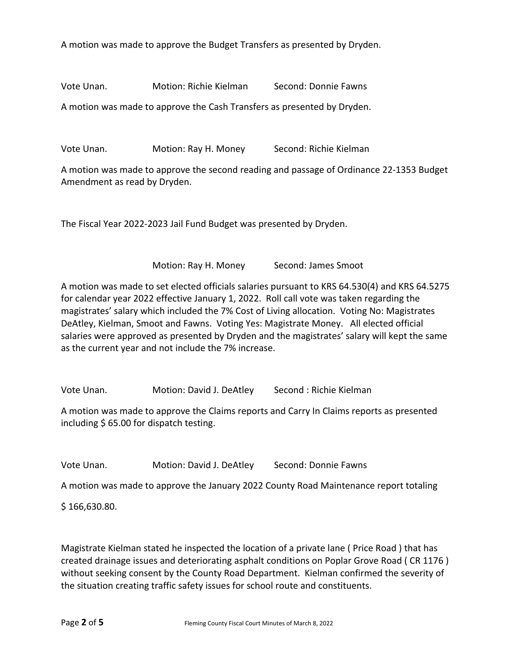A motion was made to approve the Budget Transfers as presented by Dryden.

Vote Unan. Motion: Richie Kielman Second: Donnie Fawns

A motion was made to approve the Cash Transfers as presented by Dryden.

Vote Unan. Motion: Ray H. Money Second: Richie Kielman

A motion was made to approve the second reading and passage of Ordinance 22-1353 Budget Amendment as read by Dryden.

The Fiscal Year 2022-2023 Jail Fund Budget was presented by Dryden.

Motion: Ray H. Money Second: James Smoot

A motion was made to set elected officials salaries pursuant to KRS 64.530(4) and KRS 64.5275 for calendar year 2022 effective January 1, 2022. Roll call vote was taken regarding the magistrates' salary which included the 7% Cost of Living allocation. Voting No: Magistrates DeAtley, Kielman, Smoot and Fawns. Voting Yes: Magistrate Money. All elected official salaries were approved as presented by Dryden and the magistrates' salary will kept the same as the current year and not include the 7% increase.

Vote Unan. Motion: David J. DeAtley Second : Richie Kielman

A motion was made to approve the Claims reports and Carry In Claims reports as presented including \$ 65.00 for dispatch testing.

Vote Unan. Motion: David J. DeAtley Second: Donnie Fawns

A motion was made to approve the January 2022 County Road Maintenance report totaling

\$ 166,630.80.

Magistrate Kielman stated he inspected the location of a private lane ( Price Road ) that has created drainage issues and deteriorating asphalt conditions on Poplar Grove Road ( CR 1176 ) without seeking consent by the County Road Department. Kielman confirmed the severity of the situation creating traffic safety issues for school route and constituents.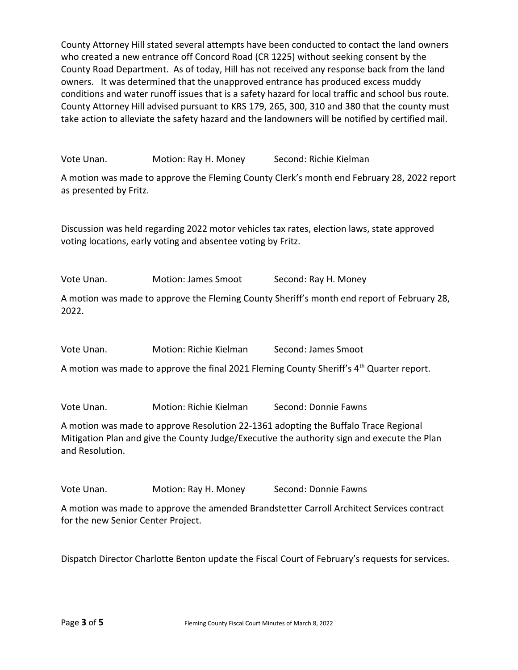County Attorney Hill stated several attempts have been conducted to contact the land owners who created a new entrance off Concord Road (CR 1225) without seeking consent by the County Road Department. As of today, Hill has not received any response back from the land owners. It was determined that the unapproved entrance has produced excess muddy conditions and water runoff issues that is a safety hazard for local traffic and school bus route. County Attorney Hill advised pursuant to KRS 179, 265, 300, 310 and 380 that the county must take action to alleviate the safety hazard and the landowners will be notified by certified mail.

Vote Unan. Motion: Ray H. Money Second: Richie Kielman

A motion was made to approve the Fleming County Clerk's month end February 28, 2022 report as presented by Fritz.

Discussion was held regarding 2022 motor vehicles tax rates, election laws, state approved voting locations, early voting and absentee voting by Fritz.

Vote Unan. Motion: James Smoot Second: Ray H. Money

A motion was made to approve the Fleming County Sheriff's month end report of February 28, 2022.

Vote Unan. Motion: Richie Kielman Second: James Smoot

A motion was made to approve the final 2021 Fleming County Sheriff's  $4<sup>th</sup>$  Quarter report.

Vote Unan. Motion: Richie Kielman Second: Donnie Fawns

A motion was made to approve Resolution 22-1361 adopting the Buffalo Trace Regional Mitigation Plan and give the County Judge/Executive the authority sign and execute the Plan and Resolution.

Vote Unan. Motion: Ray H. Money Second: Donnie Fawns

A motion was made to approve the amended Brandstetter Carroll Architect Services contract for the new Senior Center Project.

Dispatch Director Charlotte Benton update the Fiscal Court of February's requests for services.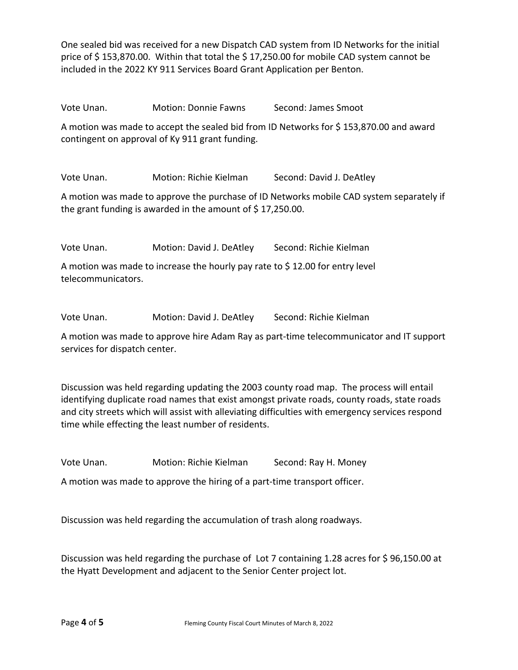One sealed bid was received for a new Dispatch CAD system from ID Networks for the initial price of \$ 153,870.00. Within that total the \$ 17,250.00 for mobile CAD system cannot be included in the 2022 KY 911 Services Board Grant Application per Benton.

Vote Unan. Motion: Donnie Fawns Second: James Smoot

A motion was made to accept the sealed bid from ID Networks for \$ 153,870.00 and award contingent on approval of Ky 911 grant funding.

Vote Unan. Motion: Richie Kielman Second: David J. DeAtley

A motion was made to approve the purchase of ID Networks mobile CAD system separately if the grant funding is awarded in the amount of \$17,250.00.

Vote Unan. Motion: David J. DeAtley Second: Richie Kielman

A motion was made to increase the hourly pay rate to \$ 12.00 for entry level telecommunicators.

Vote Unan. Motion: David J. DeAtley Second: Richie Kielman

A motion was made to approve hire Adam Ray as part-time telecommunicator and IT support services for dispatch center.

Discussion was held regarding updating the 2003 county road map. The process will entail identifying duplicate road names that exist amongst private roads, county roads, state roads and city streets which will assist with alleviating difficulties with emergency services respond time while effecting the least number of residents.

Vote Unan. Motion: Richie Kielman Second: Ray H. Money

A motion was made to approve the hiring of a part-time transport officer.

Discussion was held regarding the accumulation of trash along roadways.

Discussion was held regarding the purchase of Lot 7 containing 1.28 acres for \$ 96,150.00 at the Hyatt Development and adjacent to the Senior Center project lot.